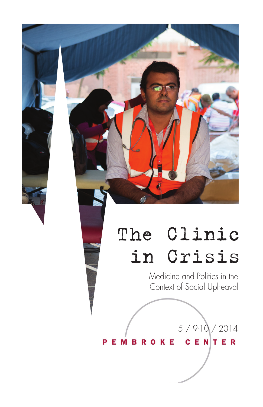# The Clinic in Crisis

Medicine and Politics in the Context of Social Upheaval

5 / 9-10 / 2014

**MBROKE CENTER** Е

P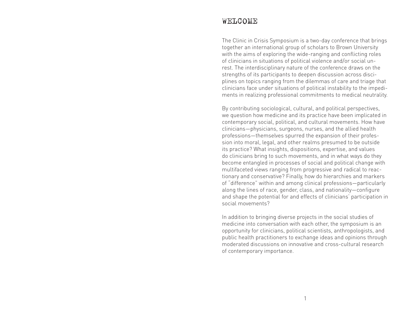## WELCOME

The Clinic in Crisis Symposium is a two-day conference that brings together an international group of scholars to Brown University with the aims of exploring the wide-ranging and conflicting roles of clinicians in situations of political violence and/or social unrest. The interdisciplinary nature of the conference draws on the strengths of its participants to deepen discussion across disciplines on topics ranging from the dilemmas of care and triage that clinicians face under situations of political instability to the impediments in realizing professional commitments to medical neutrality.

By contributing sociological, cultural, and political perspectives, we question how medicine and its practice have been implicated in contemporary social, political, and cultural movements. How have clinicians—physicians, surgeons, nurses, and the allied health professions—themselves spurred the expansion of their profession into moral, legal, and other realms presumed to be outside its practice? What insights, dispositions, expertise, and values do clinicians bring to such movements, and in what ways do they become entangled in processes of social and political change with multifaceted views ranging from progressive and radical to reactionary and conservative? Finally, how do hierarchies and markers of "difference" within and among clinical professions—particularly along the lines of race, gender, class, and nationality—configure and shape the potential for and effects of clinicians' participation in social movements?

In addition to bringing diverse projects in the social studies of medicine into conversation with each other, the symposium is an opportunity for clinicians, political scientists, anthropologists, and public health practitioners to exchange ideas and opinions through moderated discussions on innovative and cross-cultural research of contemporary importance.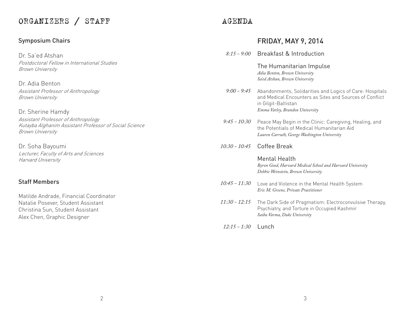# ORGANIZERS / STAFF

## Symposium Chairs

Dr. Sa'ed Atshan Postdoctoral Fellow in International Studies Brown University

Dr. Adia Benton Assistant Professor of Anthropology Brown University

Dr. Sherine Hamdy Assistant Professor of Anthropology Kutayba Alghanim Assistant Professor of Social Science Brown University

Dr. Soha Bayoumi Lecturer, Faculty of Arts and Sciences Harvard University

#### Staff Members

Matilde Andrade, Financial Coordinator Natalie Posever, Student Assistant Christina Sun, Student Assistant Alex Chen, Graphic Designer

# AGENDA

## FRIDAY, MAY 9, 2014

|                      | 8:15 - 9:00 Breakfast & Introduction                                                                                                                                          |
|----------------------|-------------------------------------------------------------------------------------------------------------------------------------------------------------------------------|
|                      | The Humanitarian Impulse<br>Adia Benton, Brown University<br>Sa'ed Atshan, Brown University                                                                                   |
| $9:00 - 9:45$        | Abandonments, Solidarities and Logics of Care: Hospitals<br>and Medical Encounters as Sites and Sources of Conflict<br>in Gilgit-Baltistan<br>Emma Varley, Brandon University |
| $9:45 - 10:30$       | Peace May Begin in the Clinic: Caregiving, Healing, and<br>the Potentials of Medical Humanitarian Aid<br>Lauren Carruth, George Washington University                         |
|                      | 10:30 - 10:45 Coffee Break                                                                                                                                                    |
|                      | <b>Mental Health</b><br>Byron Good, Harvard Medical School and Harvard University<br>Debbie Weinstein, Brown University                                                       |
| $10:45 - 11:30$      | Love and Violence in the Mental Health System<br>Eric M. Greene, Private Practitioner                                                                                         |
| 11:30 - 12:15        | The Dark Side of Pragmatism: Electroconvulsive Therapy,<br>Psychiatry, and Torture in Occupied Kashmir<br>Saiba Varma, Duke University                                        |
| $12:15 - 1:30$ Lunch |                                                                                                                                                                               |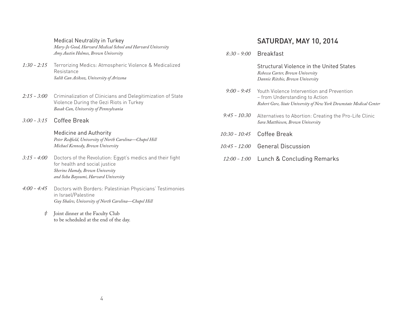Medical Neutrality in Turkey

*Mary-Jo Good, Harvard Medical School and Harvard University Amy Austin Holmes, Brown University*

- *1:30 2:15* Terrorizing Medics: Atmospheric Violence & Medicalized Resistance *Salih Can Aciksoz, University of Arizona*
- Criminalization of Clinicians and Delegitimization of State Violence During the Gezi Riots in Turkey *Basak Can, University of Pennsylvania 2:15 - 3:00*
- Coffee Break *3:00 3:15*

Medicine and Authority *Peter Redfield, University of North Carolina—Chapel Hill Michael Kennedy, Brown University*

- Doctors of the Revolution: Egypt's medics and their fight for health and social justice *Sherine Hamdy, Brown University and Soha Bayoumi, Harvard University 3:15 - 4:00*
- Doctors with Borders: Palestinian Physicians' Testimonies in Israel/Palestine *Guy Shalev, University of North Carolina—Chapel Hill 4:00 - 4:45*
	- Joint dinner at the Faculty Club to be scheduled at the end of the day. *‡*

## SATURDAY, MAY 10, 2014

Breakfast *8:30 - 9:00*

> Structural Violence in the United States *Rebecca Carter, Brown University Dannie Ritchie, Brown University*

- Youth Violence Intervention and Prevention – from Understanding to Action *Robert Gore, State University of New York Downstate Medical Center 9:00 - 9:45*
- Alternatives to Abortion: Creating the Pro-Life Clinic *Sara Matthiesen, Brown University 9:45 - 10:30*
- 10:30 10:45 Coffee Break
- *10:45 12:00* General Discussion
- Lunch & Concluding Remarks *12:00 - 1:00*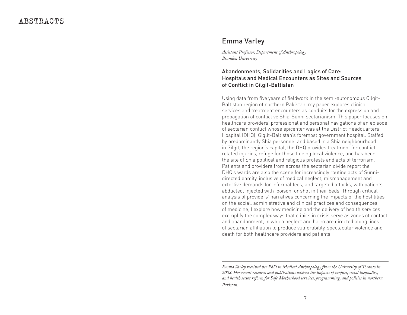## Emma Varley

*Assistant Professor, Department of Anthropology Brandon University*

#### Abandonments, Solidarities and Logics of Care: Hospitals and Medical Encounters as Sites and Sources of Conflict in Gilgit-Baltistan

Using data from five years of fieldwork in the semi-autonomous Gilgit-Baltistan region of northern Pakistan, my paper explores clinical services and treatment encounters as conduits for the expression and propagation of conflictive Shia-Sunni sectarianism. This paper focuses on healthcare providers' professional and personal navigations of an episode of sectarian conflict whose epicenter was at the District Headquarters Hospital (DHQ), Giglit-Baltistan's foremost government hospital. Staffed by predominantly Shia personnel and based in a Shia neighbourhood in Gilgit, the region's capital, the DHQ provides treatment for conflictrelated injuries, refuge for those fleeing local violence, and has been the site of Shia political and religious protests and acts of terrorism. Patients and providers from across the sectarian divide report the DHQ's wards are also the scene for increasingly routine acts of Sunnidirected enmity, inclusive of medical neglect, mismanagement and extortive demands for informal fees, and targeted attacks, with patients abducted, injected with 'poison' or shot in their beds. Through critical analysis of providers' narratives concerning the impacts of the hostilities on the social, administrative and clinical practices and consequences of medicine, I explore how medicine and the delivery of health services exemplify the complex ways that clinics in crisis serve as zones of contact and abandonment, in which neglect and harm are directed along lines of sectarian affiliation to produce vulnerability, spectacular violence and death for both healthcare providers and patients.

*Emma Varley received her PhD in Medical Anthropology from the University of Toronto in 2008. Her recent research and publications address the impacts of conflict, social inequality, and health sector reform for Safe Motherhood services, programming, and policies in northern Pakistan.*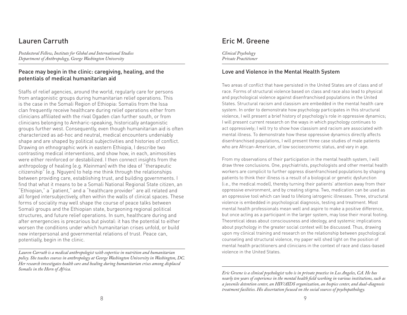## Lauren Carruth

*Postdoctoral Fellow, Institute for Global and International Studies Department of Anthropology, George Washington University*

#### Peace may begin in the clinic: caregiving, healing, and the potentials of medical humanitarian aid

Staffs of relief agencies, around the world, regularly care for persons from antagonistic groups during humanitarian relief operations. This is the case in the Somali Region of Ethiopia: Somalis from the Issa clan frequently receive healthcare during relief operations either from clinicians affiliated with the rival Ogaden clan further south, or from clinicians belonging to Amharic-speaking, historically antagonistic groups further west. Consequently, even though humanitarian aid is often characterized as ad-hoc and neutral, medical encounters undeniably shape and are shaped by political subjectivities and histories of conflict. Drawing on ethnographic work in eastern Ethiopia, I describe two contrasting medical interventions, and show how, in each, animosities were either reinforced or destabilized. I then connect insights from the anthropology of healing (e.g. Kleinman) with the idea of "therapeutic citizenship" (e.g. Nguyen) to help me think through the relationships between providing care, establishing trust, and building governments. I find that what it means to be a Somali National Regional State citizen, an "Ethiopian," a "patient," and a "healthcare provider" are all related and all forged intersubjectively, often within the walls of clinical spaces. These forms of sociality may well shape the course of peace talks between Somali groups and the Ethiopian state, burgeoning regional political structures, and future relief operations. In sum, healthcare during and after emergencies is precarious but pivotal: it has the potential to either worsen the conditions under which humanitarian crises unfold, or build new interpersonal and governmental relations of trust. Peace can, potentially, begin in the clinic.

*Lauren Carruth is a medical anthropologist with expertise in nutrition and humanitarian policy. She teaches courses in anthropology at George Washington University in Washington, DC. Her research investigates health care and healing during humanitarian crises among displaced Somalis in the Horn of Africa.*

# Eric M. Greene

*Clinical Psychology Private Practitioner*

#### Love and Violence in the Mental Health System

Two areas of conflict that have persisted in the United States are of class and of race. Forms of structural violence based on class and race also lead to physical and psychological violence against disenfranchised populations in the United States. Structural racism and classism are embedded in the mental health care system. In order to demonstrate how psychology participates in this structural violence, I will present a brief history of psychology's role in oppressive dynamics; I will present current research on the ways in which psychology continues to act oppressively; I will try to show how classism and racism are associated with mental illness. To demonstrate how these oppressive dynamics directly affects disenfranchised populations, I will present three case studies of male patients who are African-American, of low socioeconomic status, and vary in age.

From my observations of their participation in the mental health system, I will draw three conclusions. One, psychiatrists, psychologists and other mental health workers are complicit to further oppress disenfranchised populations by shaping patients to think their illness is a result of a biological or genetic dysfunction (i.e., the medical model), thereby turning their patients' attention away from their oppressive environment, and by creating stigma. Two, medication can be used as an oppressive tool which can lead to lifelong iatrogenic illnesses. Three, structural violence is embedded in psychological diagnosis, testing and treatment. Most mental health professionals mean well and aspire to make a positive difference, but once acting as a participant in the larger system, may lose their moral footing. Theoretical ideas about consciousness and ideology, and systemic implications about psychology in the greater social context will be discussed. Thus, drawing upon my clinical training and research on the relationship between psychological counseling and structural violence, my paper will shed light on the position of mental health practitioners and clinicians in the context of race and class-based violence in the United States.

*Eric Greene is a clinical psychologist who is in private practice in Los Angeles, CA. He has nearly ten years of experience in the mental health field working in various institutions, such as a juvenile detention center, an HIV/AIDS organization, an hospice center, and dual-diagnosis treatment facilities. His dissertation focused on the social sources of psychopathology.*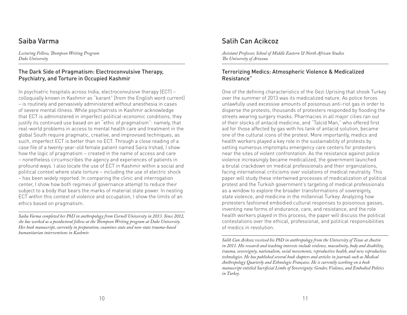# Saiba Varma

*Lecturing Fellow, Thompson Writing Program Duke University*

#### The Dark Side of Pragmatism: Electroconvulsive Therapy, Psychiatry, and Torture in Occupied Kashmir

In psychiatric hospitals across India, electroconvulsive therapy (ECT) – colloquially known in Kashmir as "karant" [from the English word current] – is routinely and pervasively administered without anesthesia in cases of severe mental illness. While psychiatrists in Kashmir acknowledge that ECT is administered in imperfect political-economic conditions, they justify its continued use based on an "ethic of pragmatism": namely, that real-world problems in access to mental health care and treatment in the global South require pragmatic, creative, and improvised techniques; as such, imperfect ECT is better than no ECT. Through a close reading of a case file of a twenty-year-old female patient named Saira Irshad, I show how the logic of pragmatism – created in the name of access and care – nonetheless circumscribes the agency and experiences of patients in profound ways. I also locate the use of ECT in Kashmir within a social and political context where state torture – including the use of electric shock – has been widely reported. In comparing the clinic and interrogation center, I show how both regimes of governance attempt to reduce their subject to a body that bears the marks of material state power. In nesting ECT within this context of violence and occupation, I show the limits of an ethics based on pragmatism.

*Saiba Varma completed her PhD in anthropology from Cornell University in 2013. Since 2012, she has worked as a postdoctoral fellow at the Thompson Writing program at Duke University. Her book manuscript, currently in preparation, examines state and non-state trauma-based humanitarian interventions in Kashmir.*

# Salih Can Acikcoz

*Assistant Professor, School of Middle Eastern & North African Studies The University of Arizona*

#### Terrorizing Medics: Atmospheric Violence & Medicalized Resistance"

One of the defining characteristics of the Gezi Uprising that shook Turkey over the summer of 2013 was its medicalized nature. As police forces unlawfully used excessive amounts of poisonous anti-riot gas in order to disperse the protests, thousands of protesters responded by flooding the streets wearing surgery masks. Pharmacies in all major cities ran out of their stocks of antacid medicine, and "Talcid Man," who offered first aid for those affected by gas with his tank of antacid solution, became one of the cultural icons of the protest. More importantly, medics and health workers played a key role in the sustainability of protests by setting numerous impromptu emergency care centers for protesters near the sites of violent confrontation. As the resistance against police violence increasingly became medicalized, the government launched a brutal crackdown on medical professionals and their organizations, facing international criticisms over violations of medical neutrality. This paper will study these intertwined processes of medicalization of political protest and the Turkish government's targeting of medical professionals as a window to explore the broader transformations of sovereignty, state violence, and medicine in the millennial Turkey. Analyzing how protesters fashioned embodied cultural responses to poisonous gasses, inventing new forms of endurance, care, and resistance, and the role health workers played in this process, the paper will discuss the political contestations over the ethical, professional, and political responsibilities of medics in revolution.

*Salih Can Aciksoz received his PhD in anthropology from the University of Texas at Austin in 2011. His research and teaching interests include violence, masculinity, body and disability, trauma, sovereignty, nationalism, social movements, reproductive health, and new reproductive technologies. He has published several book chapters and articles in journals such as Medical Anthropology Quarterly and Ethnologie Française. He is currently working on a book manuscript entitled Sacrificial Limbs of Sovereignty: Gender, Violence, and Embodied Politics in Turkey.*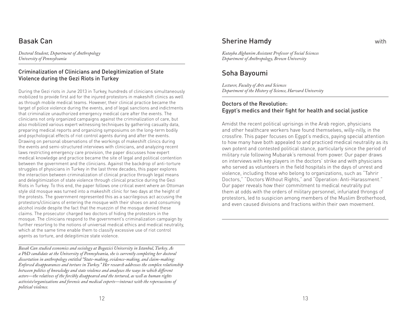# Basak Can

*Doctoral Student, Department of Anthropology University of Pennsylvania*

#### Criminalization of Clinicians and Delegitimization of State Violence during the Gezi Riots in Turkey

During the Gezi riots in June 2013 in Turkey, hundreds of clinicians simultaneously mobilized to provide first aid for the injured protestors in makeshift clinics as well as through mobile medical teams. However, their clinical practice became the target of police violence during the events, and of legal sanctions and indictments that criminalize unauthorized emergency medical care after the events. The clinicians not only organized campaigns against the criminalization of care, but also mobilized various expert witnessing techniques by gathering casualty data, preparing medical reports and organizing symposiums on the long-term bodily and psychological effects of riot control agents during and after the events. Drawing on personal observations of the workings of makeshift clinics during the events and semi-structured interviews with clinicians, and analyzing recent laws restricting emergency care provision, the paper discusses how expert medical knowledge and practice became the site of legal and political contention between the government and the clinicians. Against the backdrop of anti-torture struggles of physicians in Turkey in the last three decades, this paper explores the interaction between criminalization of clinical practice through legal means and delegitimization of state violence through clinical practice during the Gezi Riots in Turkey. To this end, the paper follows one critical event where an Ottoman style old mosque was turned into a makeshift clinic for two days at the height of the protests. The government represented this as a sacrilegious act accusing the protestors/clinicians of entering the mosque with their shoes on and consuming alcohol inside despite the fact that the muezzin of the mosque denied these claims. The prosecutor charged two doctors of hiding the protestors in the mosque. The clinicians respond to the government's criminalization campaign by further resorting to the notions of universal medical ethics and medical neutrality, which at the same time enable them to classify excessive use of riot control agents as torture, and delegitimize state violence.

*Basak Can studied economics and sociology at Bogazici University in Istanbul, Turkey. As a PhD candidate at the University of Pennsylvania, she is currently completing her doctoral dissertation in anthropology entitled "State-making, evidence-making, and claim-making: Enforced disappearances and torture in Turkey." Her research addresses the complex relationship between politics of knowledge and state violence and analyzes the ways in which different actors—the relatives of the forcibly disappeared and the tortured, as well as human rights activists/organizations and forensic and medical experts—interact with the repercussions of political violence.* 

12

## Sherine Hamdy with

*Kutayba Alghanim Assistant Professor of Social Sciences Department of Anthropology, Brown University*

# Soha Bayoumi

*Lecturer, Faculty of Arts and Sciences Department of the History of Science, Harvard University*

#### Doctors of the Revolution: Egypt's medics and their fight for health and social justice

Amidst the recent political uprisings in the Arab region, physicians and other healthcare workers have found themselves, willy-nilly, in the crossfire. This paper focuses on Egypt's medics, paying special attention to how many have both appealed to and practiced medical neutrality as its own potent and contested political stance, particularly since the period of military rule following Mubarak's removal from power. Our paper draws on interviews with key players in the doctors' strike and with physicians who served as volunteers in the field hospitals in the days of unrest and violence, including those who belong to organizations, such as "Tahrir Doctors," "Doctors Without Rights," and "Operation: Anti-Harassment." Our paper reveals how their commitment to medical neutrality put them at odds with the orders of military personnel, infuriated throngs of protestors, led to suspicion among members of the Muslim Brotherhood, and even caused divisions and fractions within their own movement.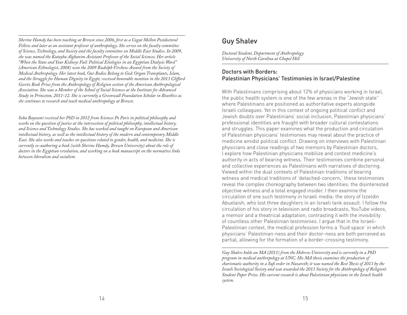*Sherine Hamdy has been teaching at Brown since 2006, first as a Cogut Mellon Postdoctoral Fellow and later as an assistant professor of anthropology. She serves on the faculty committee of Science, Technology, and Society and the faculty committee on Middle East Studies. In 2009, she was named the Kutayba Alghanim Assistant Professor of the Social Sciences. Her article "When the State and Your Kidneys Fail: Political Etiologies in an Egyptian Dialysis Ward" (American Ethnologist, 2008) won the 2009 Rudolph Virchow Award from the Society of Medical Anthropology. Her latest book, Our Bodies Belong to God: Organ Transplants, Islam, and the Struggle for Human Dignity in Egypt, received honorable mention in the 2013 Clifford Geertz Book Prize from the Anthropology of Religion section of the American Anthropological Association. She was a Member of the School of Social Sciences at the Institute for Advanced Study in Princeton, 2011-12. She is currently a Greenwall Foundation Scholar in Bioethics as she continues to research and teach medical anthropology at Brown.*

*Soha Bayoumi received her PhD in 2012 from Sciences Po Paris in political philosophy and works on the question of justice at the intersection of political philosophy, intellectual history, and Science and Technology Studies. She has worked and taught on European and American intellectual history, as well as the intellectual history of the modern and contemporary Middle East. She also works and teaches on questions related to gender, health, and medicine. She is currently co-authoring a book (with Sherine Hamdy, Brown University) about the role of doctors in the Egyptian revolution, and working on a book manuscript on the normative links between liberalism and socialism.*

# Guy Shalev

*Doctoral Student, Department of Anthropology University of North Carolina at Chapel Hill*

#### Doctors with Borders: Palestinian Physicians' Testimonies in Israel/Palestine

With Palestinians comprising about 12% of physicians working in Israel, the public health system is one of the few arenas in the "Jewish state" where Palestinians are positioned as authoritative experts alongside Israeli colleagues. Yet in this context of ongoing political conflict and Jewish doubts over Palestinians' social inclusion, Palestinian physicians' professional identities are fraught with broader cultural contestations and struggles. This paper examines what the production and circulation of Palestinian physicians' testimonies may reveal about the practice of medicine amidst political conflict. Drawing on interviews with Palestinian physicians and close readings of two memoirs by Palestinian doctors, I explore how Palestinian physicians mobilize and contest medicine's authority in acts of bearing witness. Their testimonies combine personal and collective experiences as Palestinians with narratives of doctoring. Viewed within the dual contexts of Palestinian traditions of bearing witness and medical traditions of 'detached-concern,' these testimonies reveal the complex choreography between two identities: the disinterested objective witness and a total engaged insider. I then examine the circulation of one such testimony in Israeli media: the story of Izzeldin Abuelaish, who lost three daughters in an Israeli tank assault. I follow the circulation of his story in television and radio broadcasts, YouTube videos, a memoir and a theatrical adaptation, contrasting it with the invisibility of countless other Palestinian testimonies. I argue that in the Israeli-Palestinian context, the medical profession forms a 'fluid space' in which physicians' Palestinian-ness and their doctor-ness are both perceived as partial, allowing for the formation of a border-crossing testimony.

*Guy Shalev holds an MA (2011) from the Hebrew University and is currently in a PhD program in medical anthropology at UNC. His MA thesis examines the production of charismatic authority in a Sufi order in Nazareth; it was named the Best Thesis of 2013 by the Israeli Sociological Society and was awarded the 2013 Society for the Anthropology of Religion's Student Paper Prize. His current research is about Palestinian physicians in the Israeli health system.*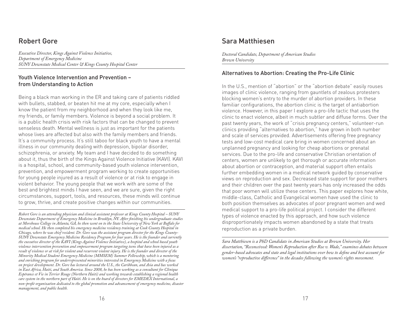# Robert Gore

*Executive Director, Kings Against Violence Initiative, Department of Emergency Medicine SUNY Downstate Medical Center & Kings County Hospital Center*

#### Youth Violence Intervention and Prevention – from Understanding to Action

Being a black man working in the ER and taking care of patients riddled with bullets, stabbed, or beaten hit me at my core, especially when I know the patient from my neighborhood and when they look like me, my friends, or family members. Violence is beyond a social problem. It is a public health crisis with risk factors that can be changed to prevent senseless death. Mental wellness is just as important for the patients whose lives are affected but also with the family members and friends. It's a community process. It's still taboo for black youth to have a mental illness in our community dealing with depression, bipolar disorder, schizophrenia, or anxiety. My team and I have decided to do something about it, thus the birth of the Kings Against Violence Initiative (KAVI). KAVI is a hospital, school, and community-based youth violence intervention, prevention, and empowerment program working to create opportunities for young people injured as a result of violence or at risk to engage in violent behavior. The young people that we work with are some of the best and brightest minds I have seen, and we are sure, given the right circumstances, support, tools, and resources, these minds will continue to grow, thrive, and create positive changes within our communities.

*Robert Gore is an attending physician and clinical assistant professor at Kings County Hospital – SUNY Downstate Department of Emergency Medicine in Brooklyn, NY. After finishing his undergraduate studies at Morehouse College in Atlanta, GA, he then went on to the State University of New York at Buffalo for medical school. He then completed his emergency medicine residency training at Cook County Hospital in Chicago, where he was chief resident. Dr. Gore was the assistant program director for the Kings County-SUNY Downstate Emergency Medicine Residency Program for four years. He is the founder and currently the executive director of the KAVI (Kings Against Violence Initiative), a hospital and school based youth violence intervention prevention and empowerment program targeting teens that have been injured as a result of violence or at risk for violent and recurrent violent injury. He is the founder and director of the Minority Medical Student Emergency Medicine (MMSEM) Summer Fellowship, which is a mentoring and enriching program for underrepresented minorities interested in Emergency Medicine with a focus on project development. Dr. Gore has lectured around the U.S., the Caribbean, and Asia and has worked in East Africa, Haiti, and South America. Since 2008, he has been working as a consultant for Clinique Espérance et Vie in Terrier Rouge (Northern Haiti) and working towards establishing a regional health care system in the northern part of Haiti. He is on the board of directors for EMEDEX International, a non-profit organization dedicated to the global promotion and advancement of emergency medicine, disaster management, and public health.*

## Sara Matthiesen

*Doctoral Candidate, Department of American Studies Brown University*

#### Alternatives to Abortion: Creating the Pro-Life Clinic

In the U.S., mention of "abortion" or the "abortion debate" easily rouses images of clinic violence, ranging from gauntlets of zealous protesters blocking women's entry to the murder of abortion providers. In these familiar configurations, the abortion clinic is the target of antiabortion violence. However, in this paper I explore a pro-life tactic that uses the clinic to enact violence, albeit in much subtler and diffuse forms. Over the past twenty years, the work of "crisis pregnancy centers," volunteer-run clinics providing "alternatives to abortion," have grown in both number and scale of services provided. Advertisements offering free pregnancy tests and low-cost medical care bring in women concerned about an unplanned pregnancy and looking for cheap abortions or prenatal services. Due to the pro-life and conservative Christian orientation of centers, women are unlikely to get thorough or accurate information about abortion or contraception, and material support often entails further embedding women in a medical network guided by conservative views on reproduction and sex. Decreased state support for poor mothers and their children over the past twenty years has only increased the odds that poor women will utilize these centers. This paper explores how white, middle-class, Catholic and Evangelical women have used the clinic to both position themselves as advocates of poor pregnant women and wed medical support to a pro-life political project. I consider the different types of violence enacted by this approach, and how such violence disproportionately impacts women abandoned by a state that treats reproduction as a private burden.

*Sara Matthiesen is a PhD Candidate in American Studies at Brown University. Her dissertation, "Reconceived: Women's Reproduction after Roe v. Wade," examines debates between gender-based advocates and state and legal institutions over how to define and best account for women's "reproductive difference" in the decades following the women's rights movement.*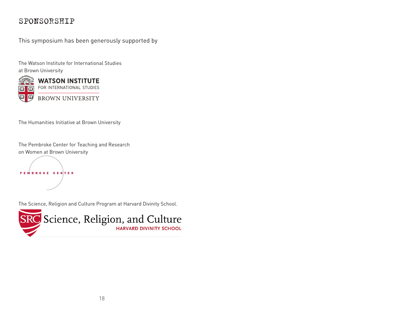# SPONSORSHIP

This symposium has been generously supported by

The Watson Institute for International Studies at Brown University



The Humanities Initiative at Brown University

The Pembroke Center for Teaching and Research on Women at Brown University



The Science, Religion and Culture Program at Harvard Divinity School.